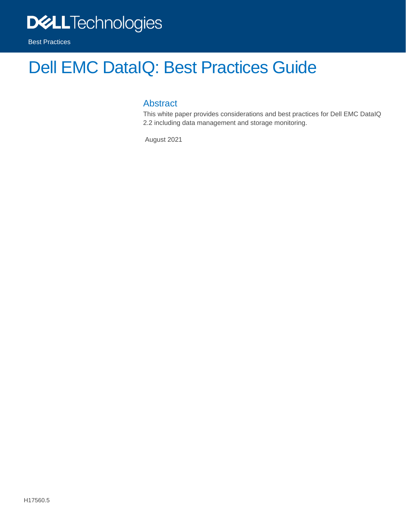

# Dell EMC DataIQ: Best Practices Guide

### Abstract

This white paper provides considerations and best practices for Dell EMC DataIQ 2.2 including data management and storage monitoring.

August 2021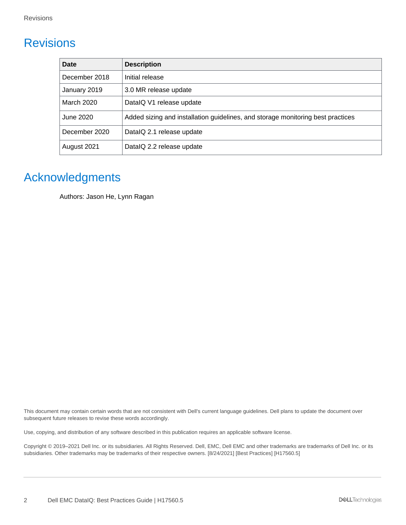# <span id="page-1-0"></span>**Revisions**

| <b>Date</b>   | <b>Description</b>                                                              |
|---------------|---------------------------------------------------------------------------------|
| December 2018 | Initial release                                                                 |
| January 2019  | 3.0 MR release update                                                           |
| March 2020    | DatalQ V1 release update                                                        |
| June 2020     | Added sizing and installation guidelines, and storage monitoring best practices |
| December 2020 | DatalQ 2.1 release update                                                       |
| August 2021   | DatalQ 2.2 release update                                                       |

# <span id="page-1-1"></span>Acknowledgments

Authors: Jason He, Lynn Ragan

This document may contain certain words that are not consistent with Dell's current language guidelines. Dell plans to update the document over subsequent future releases to revise these words accordingly.

Use, copying, and distribution of any software described in this publication requires an applicable software license.

Copyright © 2019–2021 Dell Inc. or its subsidiaries. All Rights Reserved. Dell, EMC, Dell EMC and other trademarks are trademarks of Dell Inc. or its subsidiaries. Other trademarks may be trademarks of their respective owners. [8/24/2021] [Best Practices] [H17560.5]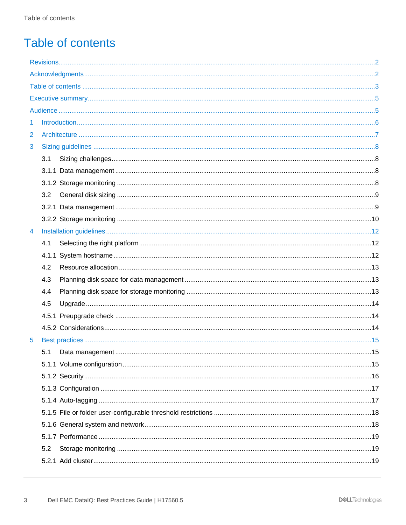# <span id="page-2-0"></span>Table of contents

| 1              |     |  |
|----------------|-----|--|
| $\overline{2}$ |     |  |
| 3              |     |  |
|                | 3.1 |  |
|                |     |  |
|                |     |  |
|                | 3.2 |  |
|                |     |  |
|                |     |  |
| 4              |     |  |
|                | 4.1 |  |
|                |     |  |
|                | 4.2 |  |
|                | 4.3 |  |
|                | 4.4 |  |
|                | 4.5 |  |
|                |     |  |
|                |     |  |
| 5              |     |  |
|                | 5.1 |  |
|                |     |  |
|                |     |  |
|                |     |  |
|                |     |  |
|                |     |  |
|                |     |  |
|                |     |  |
|                | 5.2 |  |
|                |     |  |
|                |     |  |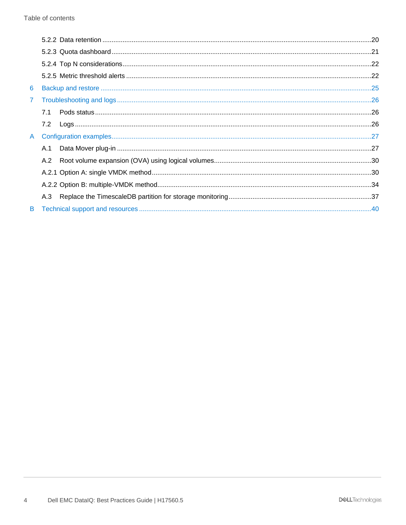| 6              |     |  |
|----------------|-----|--|
| $\overline{7}$ |     |  |
|                | 7.1 |  |
|                | 7.2 |  |
| A.             |     |  |
|                | A.1 |  |
|                | A.2 |  |
|                |     |  |
|                |     |  |
|                | A.3 |  |
|                |     |  |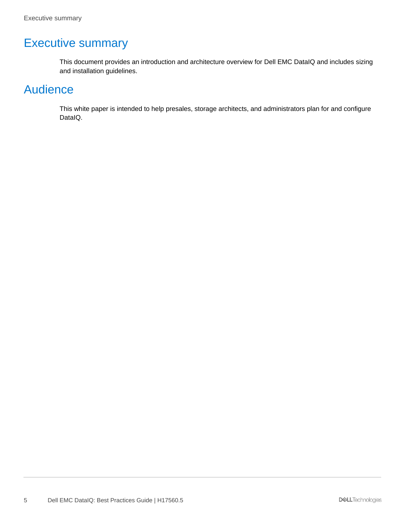# <span id="page-4-0"></span>Executive summary

This document provides an introduction and architecture overview for Dell EMC DataIQ and includes sizing and installation guidelines.

# <span id="page-4-1"></span>Audience

This white paper is intended to help presales, storage architects, and administrators plan for and configure DataIQ.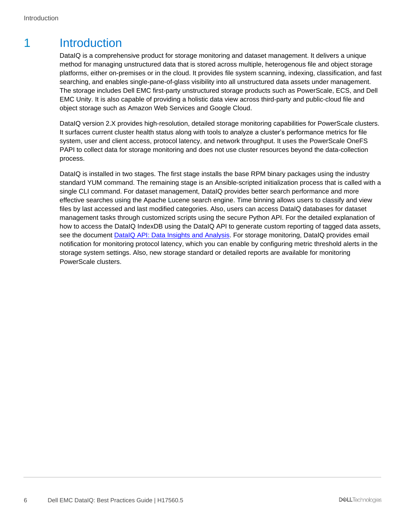# <span id="page-5-0"></span>1 Introduction

DataIQ is a comprehensive product for storage monitoring and dataset management. It delivers a unique method for managing unstructured data that is stored across multiple, heterogenous file and object storage platforms, either on-premises or in the cloud. It provides file system scanning, indexing, classification, and fast searching, and enables single-pane-of-glass visibility into all unstructured data assets under management. The storage includes Dell EMC first-party unstructured storage products such as PowerScale, ECS, and Dell EMC Unity. It is also capable of providing a holistic data view across third-party and public-cloud file and object storage such as Amazon Web Services and Google Cloud.

DataIQ version 2.X provides high-resolution, detailed storage monitoring capabilities for PowerScale clusters. It surfaces current cluster health status along with tools to analyze a cluster's performance metrics for file system, user and client access, protocol latency, and network throughput. It uses the PowerScale OneFS PAPI to collect data for storage monitoring and does not use cluster resources beyond the data-collection process.

DataIQ is installed in two stages. The first stage installs the base RPM binary packages using the industry standard YUM command. The remaining stage is an Ansible-scripted initialization process that is called with a single CLI command. For dataset management, DataIQ provides better search performance and more effective searches using the Apache Lucene search engine. Time binning allows users to classify and view files by last accessed and last modified categories. Also, users can access DataIQ databases for dataset management tasks through customized scripts using the secure Python API. For the detailed explanation of how to access the DataIQ IndexDB using the DataIQ API to generate custom reporting of tagged data assets, see the document DataIQ [API: Data Insights and](https://www.delltechnologies.com/asset/en-us/products/storage/industry-market/h18782-dell-emc-dataiq-api-data-insights-and-analysis.pdf) Analysis. For storage monitoring, DataIQ provides email notification for monitoring protocol latency, which you can enable by configuring metric threshold alerts in the storage system settings. Also, new storage standard or detailed reports are available for monitoring PowerScale clusters.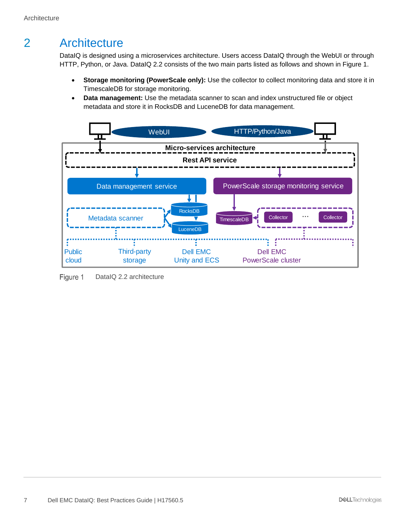# <span id="page-6-0"></span>2 Architecture

DataIQ is designed using a microservices architecture. Users access DataIQ through the WebUI or through HTTP, Python, or Java. DataIQ 2.2 consists of the two main parts listed as follows and shown in [Figure 1.](#page-6-1)

- **Storage monitoring (PowerScale only):** Use the collector to collect monitoring data and store it in TimescaleDB for storage monitoring.
- **Data management:** Use the metadata scanner to scan and index unstructured file or object metadata and store it in RocksDB and LuceneDB for data management.



<span id="page-6-1"></span>Figure 1 DataIQ 2.2 architecture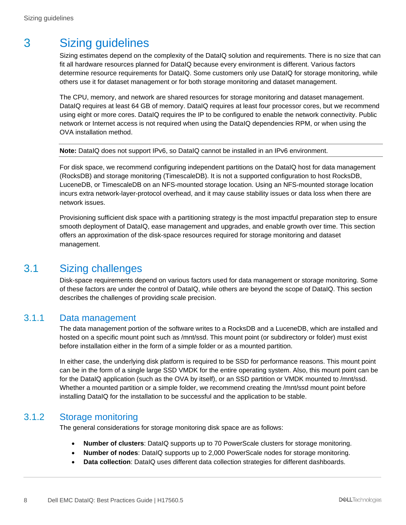# <span id="page-7-0"></span>3 Sizing guidelines

Sizing estimates depend on the complexity of the DataIQ solution and requirements. There is no size that can fit all hardware resources planned for DataIQ because every environment is different. Various factors determine resource requirements for DataIQ. Some customers only use DataIQ for storage monitoring, while others use it for dataset management or for both storage monitoring and dataset management.

The CPU, memory, and network are shared resources for storage monitoring and dataset management. DataIQ requires at least 64 GB of memory. DataIQ requires at least four processor cores, but we recommend using eight or more cores. DataIQ requires the IP to be configured to enable the network connectivity. Public network or Internet access is not required when using the DataIQ dependencies RPM, or when using the OVA installation method.

**Note:** DataIQ does not support IPv6, so DataIQ cannot be installed in an IPv6 environment.

For disk space, we recommend configuring independent partitions on the DataIQ host for data management (RocksDB) and storage monitoring (TimescaleDB). It is not a supported configuration to host RocksDB, LuceneDB, or TimescaleDB on an NFS-mounted storage location. Using an NFS-mounted storage location incurs extra network-layer-protocol overhead, and it may cause stability issues or data loss when there are network issues.

Provisioning sufficient disk space with a partitioning strategy is the most impactful preparation step to ensure smooth deployment of DataIQ, ease management and upgrades, and enable growth over time. This section offers an approximation of the disk-space resources required for storage monitoring and dataset management.

### <span id="page-7-1"></span>3.1 Sizing challenges

Disk-space requirements depend on various factors used for data management or storage monitoring. Some of these factors are under the control of DataIQ, while others are beyond the scope of DataIQ. This section describes the challenges of providing scale precision.

#### <span id="page-7-2"></span>3.1.1 Data management

The data management portion of the software writes to a RocksDB and a LuceneDB, which are installed and hosted on a specific mount point such as /mnt/ssd. This mount point (or subdirectory or folder) must exist before installation either in the form of a simple folder or as a mounted partition.

In either case, the underlying disk platform is required to be SSD for performance reasons. This mount point can be in the form of a single large SSD VMDK for the entire operating system. Also, this mount point can be for the DataIQ application (such as the OVA by itself), or an SSD partition or VMDK mounted to /mnt/ssd. Whether a mounted partition or a simple folder, we recommend creating the /mnt/ssd mount point before installing DataIQ for the installation to be successful and the application to be stable.

### <span id="page-7-3"></span>3.1.2 Storage monitoring

The general considerations for storage monitoring disk space are as follows:

- **Number of clusters**: DataIQ supports up to 70 PowerScale clusters for storage monitoring.
- **Number of nodes**: DataIQ supports up to 2,000 PowerScale nodes for storage monitoring.
- **Data collection**: DataIQ uses different data collection strategies for different dashboards.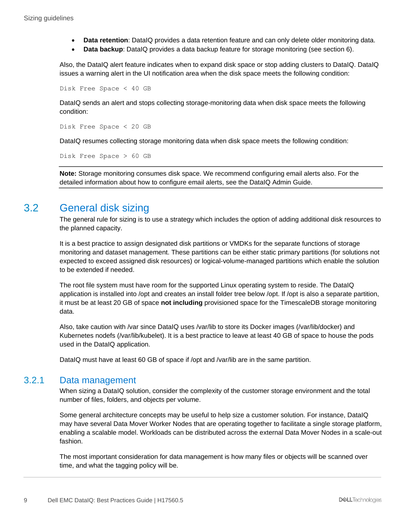- **Data retention**: DataIQ provides a data retention feature and can only delete older monitoring data.
- **Data backup**: DataIQ provides a data backup feature for storage monitoring (see section [6\)](#page-24-0).

Also, the DataIQ alert feature indicates when to expand disk space or stop adding clusters to DataIQ. DataIQ issues a warning alert in the UI notification area when the disk space meets the following condition:

Disk Free Space < 40 GB

DataIQ sends an alert and stops collecting storage-monitoring data when disk space meets the following condition:

Disk Free Space < 20 GB

DataIQ resumes collecting storage monitoring data when disk space meets the following condition:

Disk Free Space > 60 GB

**Note:** Storage monitoring consumes disk space. We recommend configuring email alerts also. For the detailed information about how to configure email alerts, see the DataIQ Admin Guide.

### <span id="page-8-0"></span>3.2 General disk sizing

The general rule for sizing is to use a strategy which includes the option of adding additional disk resources to the planned capacity.

It is a best practice to assign designated disk partitions or VMDKs for the separate functions of storage monitoring and dataset management. These partitions can be either static primary partitions (for solutions not expected to exceed assigned disk resources) or logical-volume-managed partitions which enable the solution to be extended if needed.

The root file system must have room for the supported Linux operating system to reside. The DataIQ application is installed into /opt and creates an install folder tree below /opt. If /opt is also a separate partition, it must be at least 20 GB of space **not including** provisioned space for the TimescaleDB storage monitoring data.

Also, take caution with /var since DataIQ uses /var/lib to store its Docker images (/var/lib/docker) and Kubernetes nodefs (/var/lib/kubelet). It is a best practice to leave at least 40 GB of space to house the pods used in the DataIQ application.

DataIQ must have at least 60 GB of space if /opt and /var/lib are in the same partition.

#### <span id="page-8-1"></span>3.2.1 Data management

When sizing a DataIQ solution, consider the complexity of the customer storage environment and the total number of files, folders, and objects per volume.

Some general architecture concepts may be useful to help size a customer solution. For instance, DataIQ may have several Data Mover Worker Nodes that are operating together to facilitate a single storage platform, enabling a scalable model. Workloads can be distributed across the external Data Mover Nodes in a scale-out fashion.

The most important consideration for data management is how many files or objects will be scanned over time, and what the tagging policy will be.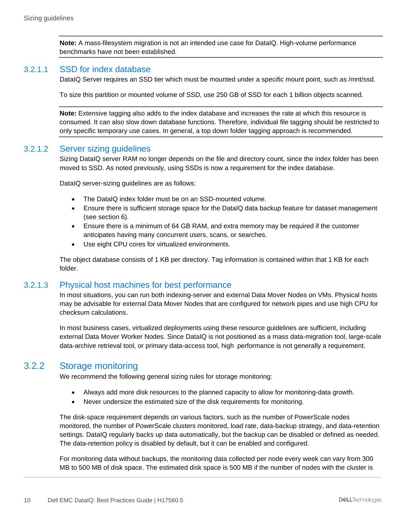**Note:** A mass-filesystem migration is not an intended use case for DataIQ. High-volume performance benchmarks have not been established.

#### 3.2.1.1 SSD for index database

DataIQ Server requires an SSD tier which must be mounted under a specific mount point, such as /mnt/ssd.

To size this partition or mounted volume of SSD, use 250 GB of SSD for each 1 billion objects scanned.

**Note:** Extensive tagging also adds to the index database and increases the rate at which this resource is consumed. It can also slow down database functions. Therefore, individual file tagging should be restricted to only specific temporary use cases. In general, a top down folder tagging approach is recommended.

#### 3.2.1.2 Server sizing guidelines

Sizing DataIQ server RAM no longer depends on the file and directory count, since the index folder has been moved to SSD. As noted previously, using SSDs is now a requirement for the index database.

DataIQ server-sizing guidelines are as follows:

- The DataIQ index folder must be on an SSD-mounted volume.
- Ensure there is sufficient storage space for the DataIQ data backup feature for dataset management (see section [6\)](#page-24-0).
- Ensure there is a minimum of 64 GB RAM, and extra memory may be required if the customer anticipates having many concurrent users, scans, or searches.
- Use eight CPU cores for virtualized environments.

The object database consists of 1 KB per directory. Tag information is contained within that 1 KB for each folder.

#### 3.2.1.3 Physical host machines for best performance

In most situations, you can run both indexing-server and external Data Mover Nodes on VMs. Physical hosts may be advisable for external Data Mover Nodes that are configured for network pipes and use high CPU for checksum calculations.

In most business cases, virtualized deployments using these resource guidelines are sufficient, including external Data Mover Worker Nodes. Since DataIQ is not positioned as a mass data-migration tool, large-scale data-archive retrieval tool, or primary data-access tool, high performance is not generally a requirement.

#### <span id="page-9-0"></span>3.2.2 Storage monitoring

We recommend the following general sizing rules for storage monitoring:

- Always add more disk resources to the planned capacity to allow for monitoring-data growth.
- Never undersize the estimated size of the disk requirements for monitoring.

The disk-space requirement depends on various factors, such as the number of PowerScale nodes monitored, the number of PowerScale clusters monitored, load rate, data-backup strategy, and data-retention settings. DataIQ regularly backs up data automatically, but the backup can be disabled or defined as needed. The data-retention policy is disabled by default, but it can be enabled and configured.

For monitoring data without backups, the monitoring data collected per node every week can vary from 300 MB to 500 MB of disk space. The estimated disk space is 500 MB if the number of nodes with the cluster is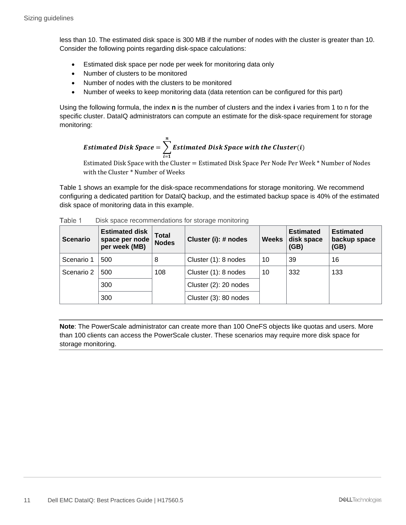less than 10. The estimated disk space is 300 MB if the number of nodes with the cluster is greater than 10. Consider the following points regarding disk-space calculations:

- Estimated disk space per node per week for monitoring data only
- Number of clusters to be monitored
- Number of nodes with the clusters to be monitored
- Number of weeks to keep monitoring data (data retention can be configured for this part)

Using the following formula, the index **n** is the number of clusters and the index **i** varies from 1 to n for the specific cluster. DataIQ administrators can compute an estimate for the disk-space requirement for storage monitoring:

*Estimated Disk Space* = 
$$
\sum_{i=1}^{n} Estimated Disk Space with the Cluster(i)
$$

Estimated Disk Space with the Cluster = Estimated Disk Space Per Node Per Week \* Number of Nodes with the Cluster \* Number of Weeks

Table 1 shows an example for the disk-space recommendations for storage monitoring. We recommend configuring a dedicated partition for DataIQ backup, and the estimated backup space is 40% of the estimated disk space of monitoring data in this example.

| <b>Scenario</b> | <b>Estimated disk</b><br>space per node<br>per week (MB) | Total<br><b>Nodes</b> | Cluster (i): # nodes  | <b>Weeks</b> | <b>Estimated</b><br>disk space<br>(GB) | <b>Estimated</b><br>backup space<br>(GB) |
|-----------------|----------------------------------------------------------|-----------------------|-----------------------|--------------|----------------------------------------|------------------------------------------|
| Scenario 1      | 500                                                      | 8                     | Cluster (1): 8 nodes  | 10           | 39                                     | 16                                       |
| Scenario 2      | 500                                                      | 108                   | Cluster (1): 8 nodes  | 10           | 332                                    | 133                                      |
|                 | 300                                                      |                       | Cluster (2): 20 nodes |              |                                        |                                          |
|                 | 300                                                      |                       | Cluster (3): 80 nodes |              |                                        |                                          |

| Table 1 | Disk space recommendations for storage monitoring |  |  |
|---------|---------------------------------------------------|--|--|
|         |                                                   |  |  |

**Note**: The PowerScale administrator can create more than 100 OneFS objects like quotas and users. More than 100 clients can access the PowerScale cluster. These scenarios may require more disk space for storage monitoring.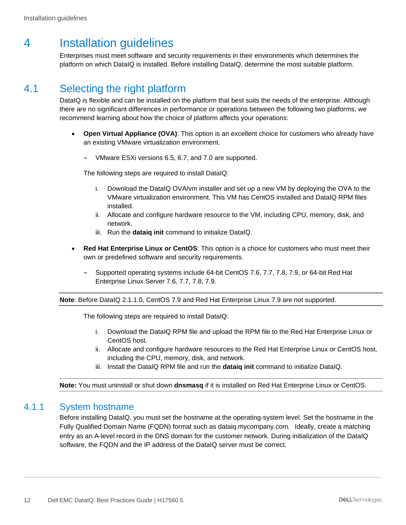# <span id="page-11-0"></span>4 Installation guidelines

Enterprises must meet software and security requirements in their environments which determines the platform on which DataIQ is installed. Before installing DataIQ, determine the most suitable platform.

### <span id="page-11-1"></span>4.1 Selecting the right platform

DataIQ is flexible and can be installed on the platform that best suits the needs of the enterprise. Although there are no significant differences in performance or operations between the following two platforms, we recommend learning about how the choice of platform affects your operations:

- **Open Virtual Appliance (OVA)**: This option is an excellent choice for customers who already have an existing VMware virtualization environment.
	- **-** VMware ESXi versions 6.5, 6.7, and 7.0 are supported.

The following steps are required to install DataIQ:

- i. Download the DataIQ OVA/vm installer and set up a new VM by deploying the OVA to the VMware virtualization environment. This VM has CentOS installed and DataIQ RPM files installed.
- ii. Allocate and configure hardware resource to the VM, including CPU, memory, disk, and network.
- iii. Run the **dataiq init** command to initialize DataIQ.
- **Red Hat Enterprise Linux or CentOS**: This option is a choice for customers who must meet their own or predefined software and security requirements.
	- **-** Supported operating systems include 64-bit CentOS 7.6, 7.7, 7.8, 7.9, or 64-bit Red Hat Enterprise Linux Server 7.6, 7.7, 7.8, 7.9.

#### **Note**: Before DataIQ 2.1.1.0, CentOS 7.9 and Red Hat Enterprise Linux 7.9 are not supported.

The following steps are required to install DataIQ:

- i. Download the DataIQ RPM file and upload the RPM file to the Red Hat Enterprise Linux or CentOS host.
- ii. Allocate and configure hardware resources to the Red Hat Enterprise Linux or CentOS host, including the CPU, memory, disk, and network.
- iii. Install the DataIQ RPM file and run the **dataiq init** command to initialize DataIQ.

**Note:** You must uninstall or shut down **dnsmasq** if it is installed on Red Hat Enterprise Linux or CentOS.

#### <span id="page-11-2"></span>4.1.1 System hostname

Before installing DataIQ, you must set the hostname at the operating-system level. Set the hostname in the Fully Qualified Domain Name (FQDN) format such as dataiq.mycompany.com. Ideally, create a matching entry as an A-level record in the DNS domain for the customer network. During initialization of the DataIQ software, the FQDN and the IP address of the DataIQ server must be correct.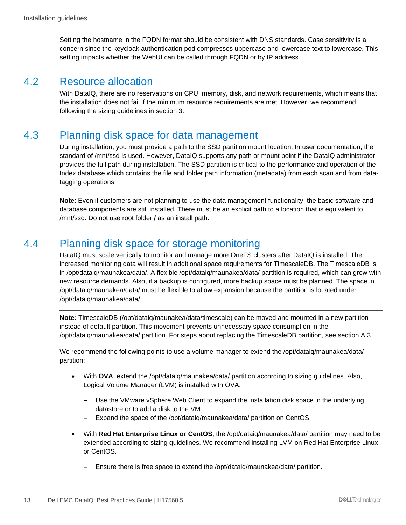Setting the hostname in the FQDN format should be consistent with DNS standards. Case sensitivity is a concern since the keycloak authentication pod compresses uppercase and lowercase text to lowercase. This setting impacts whether the WebUI can be called through FQDN or by IP address.

### <span id="page-12-0"></span>4.2 Resource allocation

With DataIQ, there are no reservations on CPU, memory, disk, and network requirements, which means that the installation does not fail if the minimum resource requirements are met. However, we recommend following the sizing guidelines in section [3.](#page-7-0)

### <span id="page-12-1"></span>4.3 Planning disk space for data management

During installation, you must provide a path to the SSD partition mount location. In user documentation, the standard of /mnt/ssd is used. However, DataIQ supports any path or mount point if the DataIQ administrator provides the full path during installation. The SSD partition is critical to the performance and operation of the Index database which contains the file and folder path information (metadata) from each scan and from datatagging operations.

**Note**: Even if customers are not planning to use the data management functionality, the basic software and database components are still installed. There must be an explicit path to a location that is equivalent to /mnt/ssd. Do not use root folder **/** as an install path.

### <span id="page-12-2"></span>4.4 Planning disk space for storage monitoring

DataIQ must scale vertically to monitor and manage more OneFS clusters after DataIQ is installed. The increased monitoring data will result in additional space requirements for TimescaleDB. The TimescaleDB is in /opt/dataiq/maunakea/data/. A flexible /opt/dataiq/maunakea/data/ partition is required, which can grow with new resource demands. Also, if a backup is configured, more backup space must be planned. The space in /opt/dataiq/maunakea/data/ must be flexible to allow expansion because the partition is located under /opt/dataiq/maunakea/data/.

**Note:** TimescaleDB (/opt/dataiq/maunakea/data/timescale) can be moved and mounted in a new partition instead of default partition. This movement prevents unnecessary space consumption in the /opt/dataiq/maunakea/data/ partition. For steps about replacing the TimescaleDB partition, see section [A.3.](#page-36-0)

We recommend the following points to use a volume manager to extend the /opt/dataig/maunakea/data/ partition:

- With **OVA**, extend the /opt/dataiq/maunakea/data/ partition according to sizing guidelines. Also, Logical Volume Manager (LVM) is installed with OVA.
	- **-** Use the VMware vSphere Web Client to expand the installation disk space in the underlying datastore or to add a disk to the VM.
	- **-** Expand the space of the /opt/dataiq/maunakea/data/ partition on CentOS.
- With **Red Hat Enterprise Linux or CentOS**, the /opt/dataiq/maunakea/data/ partition may need to be extended according to sizing guidelines. We recommend installing LVM on Red Hat Enterprise Linux or CentOS.
	- **-** Ensure there is free space to extend the /opt/dataiq/maunakea/data/ partition.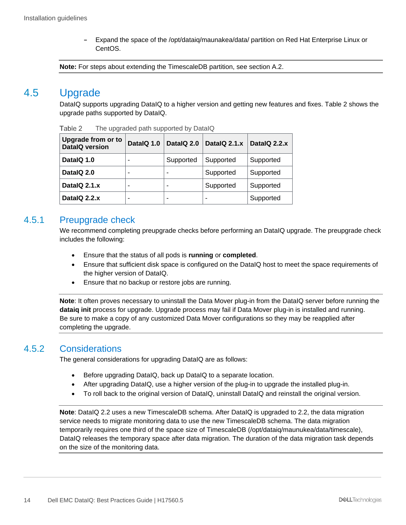**-** Expand the space of the /opt/dataiq/maunakea/data/ partition on Red Hat Enterprise Linux or CentOS.

**Note:** For steps about extending the TimescaleDB partition, see section [A.2.](#page-29-0)

### <span id="page-13-0"></span>4.5 Upgrade

DataIQ supports upgrading DataIQ to a higher version and getting new features and fixes. Table 2 shows the upgrade paths supported by DataIQ.

| <b>Upgrade from or to</b><br><b>DatalQ version</b> | DatalQ 1.0 | DatalQ 2.0 | DatalQ 2.1.x | DatalQ 2.2.x |
|----------------------------------------------------|------------|------------|--------------|--------------|
| DatalQ 1.0                                         |            | Supported  | Supported    | Supported    |
| DatalQ 2.0                                         | -          |            | Supported    | Supported    |
| DatalQ 2.1.x                                       |            |            | Supported    | Supported    |
| DatalQ 2.2.x                                       |            |            |              | Supported    |

Table 2 The upgraded path supported by DataIQ

#### <span id="page-13-1"></span>4.5.1 Preupgrade check

We recommend completing preupgrade checks before performing an DataIQ upgrade. The preupgrade check includes the following:

- Ensure that the status of all pods is **running** or **completed**.
- Ensure that sufficient disk space is configured on the DataIQ host to meet the space requirements of the higher version of DataIQ.
- Ensure that no backup or restore jobs are running.

**Note**: It often proves necessary to uninstall the Data Mover plug-in from the DataIQ server before running the **dataiq init** process for upgrade. Upgrade process may fail if Data Mover plug-in is installed and running. Be sure to make a copy of any customized Data Mover configurations so they may be reapplied after completing the upgrade.

#### <span id="page-13-2"></span>4.5.2 Considerations

The general considerations for upgrading DataIQ are as follows:

- Before upgrading DataIQ, back up DataIQ to a separate location.
- After upgrading DataIQ, use a higher version of the plug-in to upgrade the installed plug-in.
- To roll back to the original version of DataIQ, uninstall DataIQ and reinstall the original version.

**Note**: DataIQ 2.2 uses a new TimescaleDB schema. After DataIQ is upgraded to 2.2, the data migration service needs to migrate monitoring data to use the new TimescaleDB schema. The data migration temporarily requires one third of the space size of TimescaleDB (/opt/dataiq/maunukea/data/timescale), DataIQ releases the temporary space after data migration. The duration of the data migration task depends on the size of the monitoring data.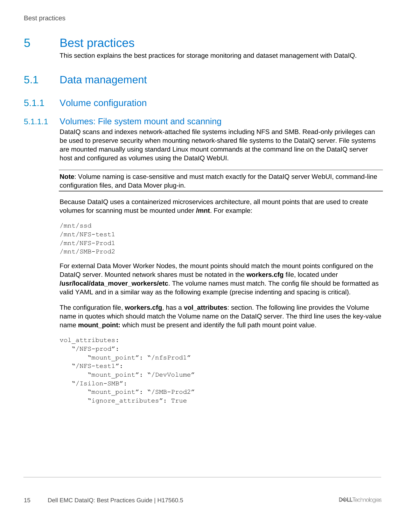# <span id="page-14-0"></span>5 Best practices

This section explains the best practices for storage monitoring and dataset management with DataIQ.

### <span id="page-14-1"></span>5.1 Data management

#### <span id="page-14-2"></span>5.1.1 Volume configuration

#### 5.1.1.1 Volumes: File system mount and scanning

DataIQ scans and indexes network-attached file systems including NFS and SMB. Read-only privileges can be used to preserve security when mounting network-shared file systems to the DataIQ server. File systems are mounted manually using standard Linux mount commands at the command line on the DataIQ server host and configured as volumes using the DataIQ WebUI.

**Note**: Volume naming is case-sensitive and must match exactly for the DataIQ server WebUI, command-line configuration files, and Data Mover plug-in.

Because DataIQ uses a containerized microservices architecture, all mount points that are used to create volumes for scanning must be mounted under **/mnt**. For example:

```
/mnt/ssd
/mnt/NFS-test1
/mnt/NFS-Prod1
/mnt/SMB-Prod2
```
For external Data Mover Worker Nodes, the mount points should match the mount points configured on the DataIQ server. Mounted network shares must be notated in the **workers.cfg** file, located under **/usr/local/data\_mover\_workers/etc**. The volume names must match. The config file should be formatted as valid YAML and in a similar way as the following example (precise indenting and spacing is critical).

The configuration file, **workers.cfg**, has a **vol\_attributes**: section. The following line provides the Volume name in quotes which should match the Volume name on the DataIQ server. The third line uses the key-value name **mount point:** which must be present and identify the full path mount point value.

```
vol attributes:
    "/NFS-prod":
        "mount_point": "/nfsProd1"
    "/NFS-test1":
        "mount_point": "/DevVolume"
    "/Isilon-SMB":
        "mount_point": "/SMB-Prod2"
       "ignore attributes": True
```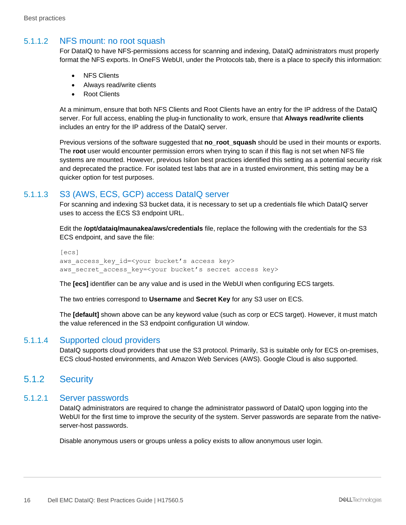#### 5.1.1.2 NFS mount: no root squash

For DataIQ to have NFS-permissions access for scanning and indexing, DataIQ administrators must properly format the NFS exports. In OneFS WebUI, under the Protocols tab, there is a place to specify this information:

- NFS Clients
- Always read/write clients
- Root Clients

At a minimum, ensure that both NFS Clients and Root Clients have an entry for the IP address of the DataIQ server. For full access, enabling the plug-in functionality to work, ensure that **Always read/write clients** includes an entry for the IP address of the DataIQ server.

Previous versions of the software suggested that **no\_root\_squash** should be used in their mounts or exports. The **root** user would encounter permission errors when trying to scan if this flag is not set when NFS file systems are mounted. However, previous Isilon best practices identified this setting as a potential security risk and deprecated the practice. For isolated test labs that are in a trusted environment, this setting may be a quicker option for test purposes.

#### 5.1.1.3 S3 (AWS, ECS, GCP) access DataIQ server

For scanning and indexing S3 bucket data, it is necessary to set up a credentials file which DataIQ server uses to access the ECS S3 endpoint URL.

Edit the **/opt/dataiq/maunakea/aws/credentials** file, replace the following with the credentials for the S3 ECS endpoint, and save the file:

```
[ecs]
aws access key id=<your bucket's access key>
aws secret access key=<your bucket's secret access key>
```
The **[ecs]** identifier can be any value and is used in the WebUI when configuring ECS targets.

The two entries correspond to **Username** and **Secret Key** for any S3 user on ECS.

The **[default]** shown above can be any keyword value (such as corp or ECS target). However, it must match the value referenced in the S3 endpoint configuration UI window.

#### 5.1.1.4 Supported cloud providers

DataIQ supports cloud providers that use the S3 protocol. Primarily, S3 is suitable only for ECS on-premises, ECS cloud-hosted environments, and Amazon Web Services (AWS). Google Cloud is also supported.

#### <span id="page-15-0"></span>5.1.2 Security

#### 5.1.2.1 Server passwords

DataIQ administrators are required to change the administrator password of DataIQ upon logging into the WebUI for the first time to improve the security of the system. Server passwords are separate from the nativeserver-host passwords.

Disable anonymous users or groups unless a policy exists to allow anonymous user login.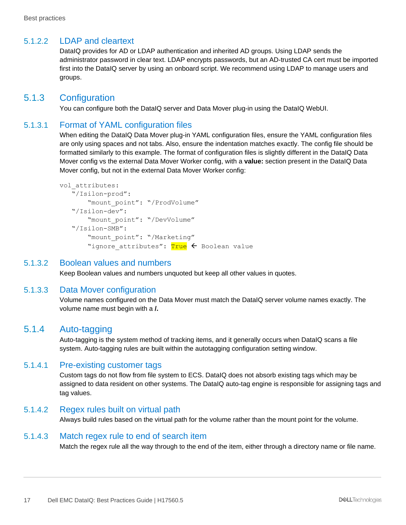#### 5.1.2.2 LDAP and cleartext

DataIQ provides for AD or LDAP authentication and inherited AD groups. Using LDAP sends the administrator password in clear text. LDAP encrypts passwords, but an AD-trusted CA cert must be imported first into the DataIQ server by using an onboard script. We recommend using LDAP to manage users and groups.

#### <span id="page-16-0"></span>5.1.3 Configuration

You can configure both the DataIQ server and Data Mover plug-in using the DataIQ WebUI.

#### 5.1.3.1 Format of YAML configuration files

When editing the DataIQ Data Mover plug-in YAML configuration files, ensure the YAML configuration files are only using spaces and not tabs. Also, ensure the indentation matches exactly. The config file should be formatted similarly to this example. The format of configuration files is slightly different in the DataIQ Data Mover config vs the external Data Mover Worker config, with a **value:** section present in the DataIQ Data Mover config, but not in the external Data Mover Worker config:

```
vol attributes:
    "/Isilon-prod":
        "mount_point": "/ProdVolume"
    "/Isilon-dev":
        "mount_point": "/DevVolume"
    "/Isilon-SMB":
        "mount_point": "/Marketing"
       "ignore attributes": True < Boolean value
```
#### 5.1.3.2 Boolean values and numbers

Keep Boolean values and numbers unquoted but keep all other values in quotes.

#### 5.1.3.3 Data Mover configuration

Volume names configured on the Data Mover must match the DataIQ server volume names exactly. The volume name must begin with a **/.**

#### <span id="page-16-1"></span>5.1.4 Auto-tagging

Auto-tagging is the system method of tracking items, and it generally occurs when DataIQ scans a file system. Auto-tagging rules are built within the autotagging configuration setting window.

#### 5.1.4.1 Pre-existing customer tags

Custom tags do not flow from file system to ECS. DataIQ does not absorb existing tags which may be assigned to data resident on other systems. The DataIQ auto-tag engine is responsible for assigning tags and tag values.

#### 5.1.4.2 Regex rules built on virtual path

Always build rules based on the virtual path for the volume rather than the mount point for the volume.

#### 5.1.4.3 Match regex rule to end of search item

Match the regex rule all the way through to the end of the item, either through a directory name or file name.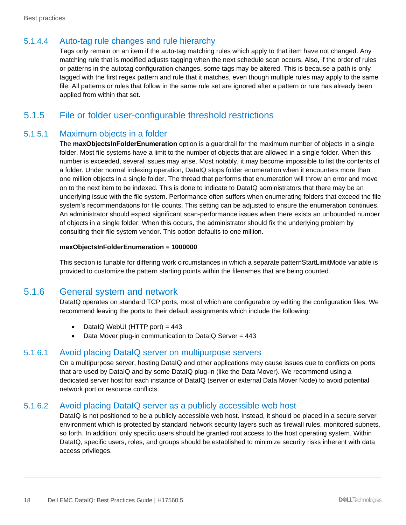#### 5.1.4.4 Auto-tag rule changes and rule hierarchy

Tags only remain on an item if the auto-tag matching rules which apply to that item have not changed. Any matching rule that is modified adjusts tagging when the next schedule scan occurs. Also, if the order of rules or patterns in the autotag configuration changes, some tags may be altered. This is because a path is only tagged with the first regex pattern and rule that it matches, even though multiple rules may apply to the same file. All patterns or rules that follow in the same rule set are ignored after a pattern or rule has already been applied from within that set.

### <span id="page-17-0"></span>5.1.5 File or folder user-configurable threshold restrictions

#### 5.1.5.1 Maximum objects in a folder

The **maxObjectsInFolderEnumeration** option is a guardrail for the maximum number of objects in a single folder. Most file systems have a limit to the number of objects that are allowed in a single folder. When this number is exceeded, several issues may arise. Most notably, it may become impossible to list the contents of a folder. Under normal indexing operation, DataIQ stops folder enumeration when it encounters more than one million objects in a single folder. The thread that performs that enumeration will throw an error and move on to the next item to be indexed. This is done to indicate to DataIQ administrators that there may be an underlying issue with the file system. Performance often suffers when enumerating folders that exceed the file system's recommendations for file counts. This setting can be adjusted to ensure the enumeration continues. An administrator should expect significant scan-performance issues when there exists an unbounded number of objects in a single folder. When this occurs, the administrator should fix the underlying problem by consulting their file system vendor. This option defaults to one million.

#### **maxObjectsInFolderEnumeration = 1000000**

This section is tunable for differing work circumstances in which a separate patternStartLimitMode variable is provided to customize the pattern starting points within the filenames that are being counted.

#### <span id="page-17-1"></span>5.1.6 General system and network

DataIQ operates on standard TCP ports, most of which are configurable by editing the configuration files. We recommend leaving the ports to their default assignments which include the following:

- DataIQ WebUI (HTTP port) =  $443$
- Data Mover plug-in communication to DataIQ Server = 443

#### 5.1.6.1 Avoid placing DataIQ server on multipurpose servers

On a multipurpose server, hosting DataIQ and other applications may cause issues due to conflicts on ports that are used by DataIQ and by some DataIQ plug-in (like the Data Mover). We recommend using a dedicated server host for each instance of DataIQ (server or external Data Mover Node) to avoid potential network port or resource conflicts.

#### 5.1.6.2 Avoid placing DataIQ server as a publicly accessible web host

DataIQ is not positioned to be a publicly accessible web host. Instead, it should be placed in a secure server environment which is protected by standard network security layers such as firewall rules, monitored subnets, so forth. In addition, only specific users should be granted root access to the host operating system. Within DataIQ, specific users, roles, and groups should be established to minimize security risks inherent with data access privileges.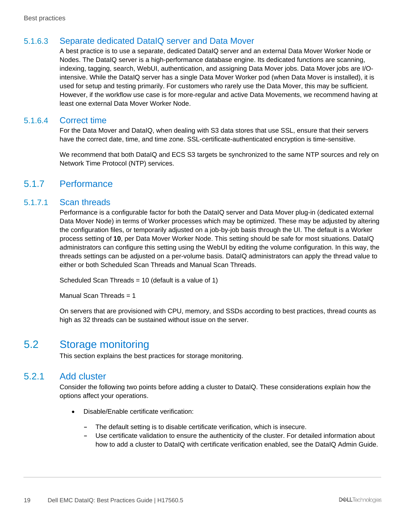### 5.1.6.3 Separate dedicated DataIQ server and Data Mover

A best practice is to use a separate, dedicated DataIQ server and an external Data Mover Worker Node or Nodes. The DataIQ server is a high-performance database engine. Its dedicated functions are scanning, indexing, tagging, search, WebUI, authentication, and assigning Data Mover jobs. Data Mover jobs are I/Ointensive. While the DataIQ server has a single Data Mover Worker pod (when Data Mover is installed), it is used for setup and testing primarily. For customers who rarely use the Data Mover, this may be sufficient. However, if the workflow use case is for more-regular and active Data Movements, we recommend having at least one external Data Mover Worker Node.

#### 5.1.6.4 Correct time

For the Data Mover and DataIQ, when dealing with S3 data stores that use SSL, ensure that their servers have the correct date, time, and time zone. SSL-certificate-authenticated encryption is time-sensitive.

We recommend that both DataIQ and ECS S3 targets be synchronized to the same NTP sources and rely on Network Time Protocol (NTP) services.

#### <span id="page-18-0"></span>5.1.7 Performance

#### 5.1.7.1 Scan threads

Performance is a configurable factor for both the DataIQ server and Data Mover plug-in (dedicated external Data Mover Node) in terms of Worker processes which may be optimized. These may be adjusted by altering the configuration files, or temporarily adjusted on a job-by-job basis through the UI. The default is a Worker process setting of **10**, per Data Mover Worker Node. This setting should be safe for most situations. DataIQ administrators can configure this setting using the WebUI by editing the volume configuration. In this way, the threads settings can be adjusted on a per-volume basis. DataIQ administrators can apply the thread value to either or both Scheduled Scan Threads and Manual Scan Threads.

Scheduled Scan Threads = 10 (default is a value of 1)

Manual Scan Threads = 1

On servers that are provisioned with CPU, memory, and SSDs according to best practices, thread counts as high as 32 threads can be sustained without issue on the server.

### <span id="page-18-1"></span>5.2 Storage monitoring

This section explains the best practices for storage monitoring.

#### <span id="page-18-2"></span>5.2.1 Add cluster

Consider the following two points before adding a cluster to DataIQ. These considerations explain how the options affect your operations.

- Disable/Enable certificate verification:
	- **-** The default setting is to disable certificate verification, which is insecure.
	- **-** Use certificate validation to ensure the authenticity of the cluster. For detailed information about how to add a cluster to DataIQ with certificate verification enabled, see the DataIQ Admin Guide.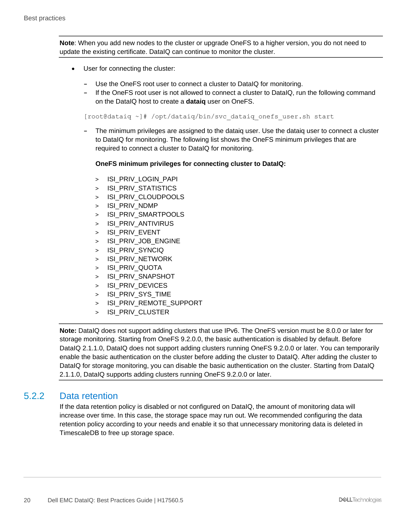**Note**: When you add new nodes to the cluster or upgrade OneFS to a higher version, you do not need to update the existing certificate. DataIQ can continue to monitor the cluster.

- User for connecting the cluster:
	- **-** Use the OneFS root user to connect a cluster to DataIQ for monitoring.
	- **-** If the OneFS root user is not allowed to connect a cluster to DataIQ, run the following command on the DataIQ host to create a **dataiq** user on OneFS.

[root@dataiq ~]# /opt/dataiq/bin/svc\_dataiq\_onefs\_user.sh start

**-** The minimum privileges are assigned to the dataiq user. Use the dataiq user to connect a cluster to DataIQ for monitoring. The following list shows the OneFS minimum privileges that are required to connect a cluster to DataIQ for monitoring.

#### **OneFS minimum privileges for connecting cluster to DataIQ:**

- > ISI PRIV LOGIN PAPI
- > ISI PRIV STATISTICS
- > ISI\_PRIV\_CLOUDPOOLS
- > ISI\_PRIV\_NDMP
- > ISI\_PRIV\_SMARTPOOLS
- > ISI PRIV ANTIVIRUS
- > ISI PRIV EVENT
- > ISI PRIV JOB ENGINE
- > ISI PRIV SYNCIQ
- > ISI\_PRIV\_NETWORK
- > ISI\_PRIV\_QUOTA
- > ISI\_PRIV\_SNAPSHOT
- > ISI PRIV DEVICES
- > ISI\_PRIV\_SYS\_TIME
- > ISI\_PRIV\_REMOTE\_SUPPORT
- > ISI\_PRIV\_CLUSTER

**Note:** DataIQ does not support adding clusters that use IPv6. The OneFS version must be 8.0.0 or later for storage monitoring. Starting from OneFS 9.2.0.0, the basic authentication is disabled by default. Before DataIQ 2.1.1.0, DataIQ does not support adding clusters running OneFS 9.2.0.0 or later. You can temporarily enable the basic authentication on the cluster before adding the cluster to DataIQ. After adding the cluster to DataIQ for storage monitoring, you can disable the basic authentication on the cluster. Starting from DataIQ 2.1.1.0, DataIQ supports adding clusters running OneFS 9.2.0.0 or later.

#### <span id="page-19-0"></span>5.2.2 Data retention

If the data retention policy is disabled or not configured on DataIQ, the amount of monitoring data will increase over time. In this case, the storage space may run out. We recommended configuring the data retention policy according to your needs and enable it so that unnecessary monitoring data is deleted in TimescaleDB to free up storage space.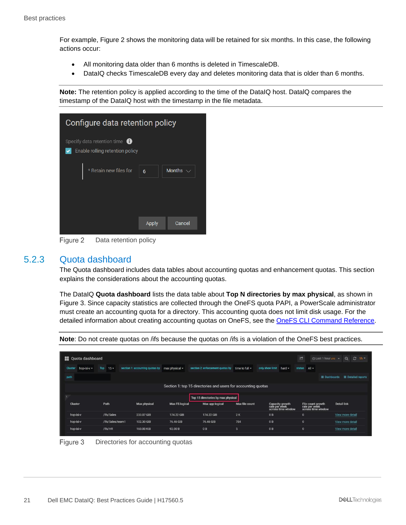For example, [Figure 2](#page-20-1) shows the monitoring data will be retained for six months. In this case, the following actions occur:

- All monitoring data older than 6 months is deleted in TimescaleDB.
- DataIQ checks TimescaleDB every day and deletes monitoring data that is older than 6 months.

**Note:** The retention policy is applied according to the time of the DataIQ host. DatalQ compares the timestamp of the DataIQ host with the timestamp in the file metadata.

| Configure data retention policy                                            |              |               |  |  |  |  |  |  |  |  |
|----------------------------------------------------------------------------|--------------|---------------|--|--|--|--|--|--|--|--|
| Specify data retention time $\bigoplus$<br>Enable rolling retention policy |              |               |  |  |  |  |  |  |  |  |
| * Retain new files for                                                     | 6            | Months $\vee$ |  |  |  |  |  |  |  |  |
|                                                                            | <b>Apply</b> | Cancel        |  |  |  |  |  |  |  |  |

Figure 2 Data retention policy

#### <span id="page-20-1"></span><span id="page-20-0"></span>5.2.3 Quota dashboard

The Quota dashboard includes data tables about accounting quotas and enhancement quotas. This section explains the considerations about the accounting quotas.

The DataIQ **Quota dashboard** lists the data table about **Top N directories by max physical**, as shown in [Figure 3.](#page-20-2) Since capacity statistics are collected through the OneFS quota PAPI, a PowerScale administrator must create an accounting quota for a directory. This accounting quota does not limit disk usage. For the detailed information about creating accounting quotas on OneFS, see the [OneFS CLI Command Reference.](https://support.emc.com/docu96960_OneFS--8.2.2-CLI-Command-Reference.pdf)

| <b>Quota dashboard</b>        |                  |                                 |                       |                                                               |                     |                                                        | G                                                        | ⊙ Last 1 hour urc → | $\Theta$<br>$C$ 1h $2$    |
|-------------------------------|------------------|---------------------------------|-----------------------|---------------------------------------------------------------|---------------------|--------------------------------------------------------|----------------------------------------------------------|---------------------|---------------------------|
| hop-isi-v -<br><b>Cluster</b> | Top<br>$15 -$    | section 1: accounting quotas by | max physical -        | section 2: enforcement quotas by                              | time to full $\sim$ | only show limit<br>hard $\sim$                         | status<br>$  A   \cdot$                                  |                     |                           |
| path                          |                  |                                 |                       |                                                               |                     |                                                        |                                                          | $\equiv$ Dashboards | $\equiv$ Detailed reports |
|                               |                  |                                 |                       | Section 1: top 15 directories and users for accounting quotas |                     |                                                        |                                                          |                     |                           |
|                               |                  |                                 |                       | Top 15 directories by max physical                            |                     |                                                        |                                                          |                     |                           |
| Cluster                       | Path             | Max physical                    | <b>Max FS logical</b> | Max app logical                                               | Max file count      | Capacity growth<br>rate per week<br>across time window | File count growth<br>rate per week<br>across time window |                     | <b>Detail link</b>        |
| hop-isi-v                     | /ifs/Sales       | 233.07 GiB                      | 174.22 GiB            | 174.22 GiB                                                    | 2K                  | 0B                                                     | $\mathbf{0}$                                             |                     | View more detail          |
| hop-isi-v                     | /ifs/Sales/team1 | 102.30 GiB                      | 76.46 GiB             | 76.46 GiB                                                     | 784                 | 0B                                                     | $\mathbf{0}$                                             |                     | View more detail          |
| hop-isi-v                     | /ifs/HR          | 160.00 KiB                      | 92.00 B               | 0B                                                            | 5                   | 0B                                                     | $\theta$                                                 |                     | View more detail          |

**Note**: Do not create quotas on /ifs because the quotas on /ifs is a violation of the OneFS best practices.

<span id="page-20-2"></span>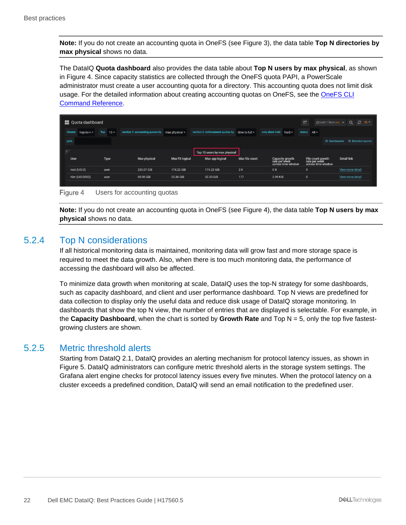**Note:** If you do not create an accounting quota in OneFS (see [Figure 3\)](#page-20-2), the data table **Top N directories by max physical** shows no data.

The DataIQ **Quota dashboard** also provides the data table about **Top N users by max physical**, as shown in [Figure 4.](#page-21-2) Since capacity statistics are collected through the OneFS quota PAPI, a PowerScale administrator must create a user accounting quota for a directory. This accounting quota does not limit disk usage. For the detailed information about creating accounting quotas on OneFS, see the **OneFS CLI** [Command Reference.](https://support.emc.com/docu96960_OneFS--8.2.2-CLI-Command-Reference.pdf)

|                | <b>E.</b> Quota dashboard |      |        |                                 |                       |                                                       |                |                                                        | G                        | $\odot$ Last 1 hour urc $\sim$      |                    | $Q \quad \mathbb{C}$ 1h $\overline{ }$ |
|----------------|---------------------------|------|--------|---------------------------------|-----------------------|-------------------------------------------------------|----------------|--------------------------------------------------------|--------------------------|-------------------------------------|--------------------|----------------------------------------|
| <b>Cluster</b> | hop-isi-v -               | Top  | $15 -$ | section 1: accounting quotas by | $max$ physical $\sim$ | section 2: enforcement quotas by time to full $\star$ |                | only show limit<br>$hat{\mathbf{v}}$                   | status $All \rightarrow$ |                                     |                    |                                        |
| path           |                           |      |        |                                 |                       |                                                       |                |                                                        |                          | $\equiv$ Dashboards                 |                    | $\equiv$ Detailed reports              |
|                |                           |      |        |                                 |                       | Top 15 users by max physical                          |                |                                                        |                          |                                     |                    |                                        |
| <b>User</b>    |                           | Type |        | <b>Max physical</b>             | <b>Max FS logical</b> | Max app logical                                       | Max file count | Capacity growth<br>rate per week<br>across time window | File count growth        | rate per week<br>across time window | <b>Detail link</b> |                                        |
| root (UID:0)   |                           | user |        | 233.07 GiB                      | 174.22 GiB            | 174.22 GiB                                            | 2K             | 0 <sub>B</sub>                                         | $\mathbf{0}$             |                                     | View more detail   |                                        |
| Kim (UID:2002) |                           | user |        | 69.98 GiB                       | 52.36 GiB             | 52.35 GiB                                             | 177            | 2.99 KiB                                               | $\mathbf{0}$             |                                     | View more detail   |                                        |

<span id="page-21-2"></span>Figure 4 Users for accounting quotas

**Note:** If you do not create an accounting quota in OneFS (see [Figure 4\)](#page-21-2), the data table **Top N users by max physical** shows no data.

#### <span id="page-21-0"></span>5.2.4 Top N considerations

If all historical monitoring data is maintained, monitoring data will grow fast and more storage space is required to meet the data growth. Also, when there is too much monitoring data, the performance of accessing the dashboard will also be affected.

To minimize data growth when monitoring at scale, DataIQ uses the top-N strategy for some dashboards, such as capacity dashboard, and client and user performance dashboard. Top N views are predefined for data collection to display only the useful data and reduce disk usage of DataIQ storage monitoring. In dashboards that show the top N view, the number of entries that are displayed is selectable. For example, in the **Capacity Dashboard**, when the chart is sorted by **Growth Rate** and Top N = 5, only the top five fastestgrowing clusters are shown.

#### <span id="page-21-1"></span>5.2.5 Metric threshold alerts

Starting from DataIQ 2.1, DataIQ provides an alerting mechanism for protocol latency issues, as shown in [Figure 5.](#page-22-0) DataIQ administrators can configure metric threshold alerts in the storage system settings. The Grafana alert engine checks for protocol latency issues every five minutes. When the protocol latency on a cluster exceeds a predefined condition, DataIQ will send an email notification to the predefined user.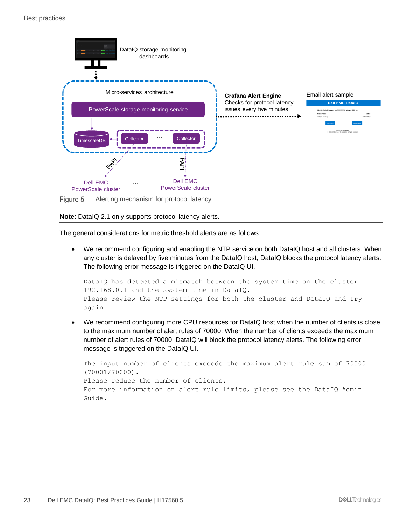#### Best practices



<span id="page-22-0"></span>**Note**: DataIQ 2.1 only supports protocol latency alerts.

The general considerations for metric threshold alerts are as follows:

• We recommend configuring and enabling the NTP service on both DataIQ host and all clusters. When any cluster is delayed by five minutes from the DataIQ host, DataIQ blocks the protocol latency alerts. The following error message is triggered on the DataIQ UI.

```
DataIQ has detected a mismatch between the system time on the cluster 
192.168.0.1 and the system time in DataIQ.
Please review the NTP settings for both the cluster and DataIQ and try 
again
```
• We recommend configuring more CPU resources for DataIQ host when the number of clients is close to the maximum number of alert rules of 70000. When the number of clients exceeds the maximum number of alert rules of 70000, DataIQ will block the protocol latency alerts. The following error message is triggered on the DataIQ UI.

```
The input number of clients exceeds the maximum alert rule sum of 70000
(70001/70000).
Please reduce the number of clients.
For more information on alert rule limits, please see the DataIQ Admin
Guide.
```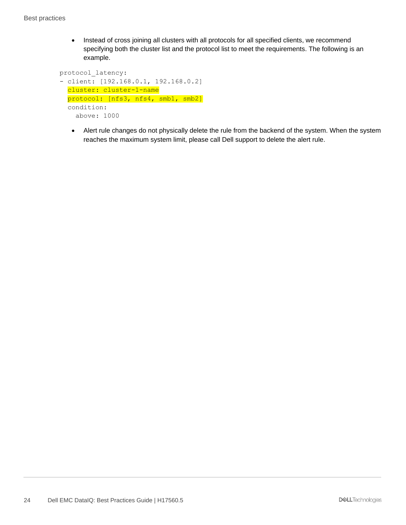• Instead of cross joining all clusters with all protocols for all specified clients, we recommend specifying both the cluster list and the protocol list to meet the requirements. The following is an example.

```
protocol_latency:
- client: [192.168.0.1, 192.168.0.2]
   cluster: cluster-1-name
  protocol: [nfs3, nfs4, smb1, smb2]
   condition:
     above: 1000
```
• Alert rule changes do not physically delete the rule from the backend of the system. When the system reaches the maximum system limit, please call Dell support to delete the alert rule.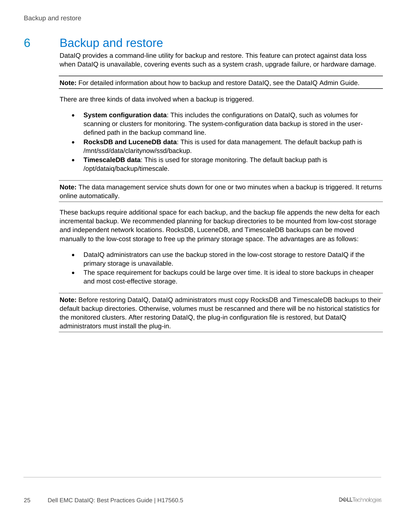# <span id="page-24-0"></span>6 Backup and restore

DataIQ provides a command-line utility for backup and restore. This feature can protect against data loss when DataIQ is unavailable, covering events such as a system crash, upgrade failure, or hardware damage.

**Note:** For detailed information about how to backup and restore DataIQ, see the DataIQ Admin Guide.

There are three kinds of data involved when a backup is triggered.

- **System configuration data**: This includes the configurations on DataIQ, such as volumes for scanning or clusters for monitoring. The system-configuration data backup is stored in the userdefined path in the backup command line.
- **RocksDB and LuceneDB data**: This is used for data management. The default backup path is /mnt/ssd/data/claritynow/ssd/backup.
- **TimescaleDB data**: This is used for storage monitoring. The default backup path is /opt/dataiq/backup/timescale.

**Note:** The data management service shuts down for one or two minutes when a backup is triggered. It returns online automatically.

These backups require additional space for each backup, and the backup file appends the new delta for each incremental backup. We recommended planning for backup directories to be mounted from low-cost storage and independent network locations. RocksDB, LuceneDB, and TimescaleDB backups can be moved manually to the low-cost storage to free up the primary storage space. The advantages are as follows:

- DataIQ administrators can use the backup stored in the low-cost storage to restore DataIQ if the primary storage is unavailable.
- The space requirement for backups could be large over time. It is ideal to store backups in cheaper and most cost-effective storage.

**Note:** Before restoring DataIQ, DataIQ administrators must copy RocksDB and TimescaleDB backups to their default backup directories. Otherwise, volumes must be rescanned and there will be no historical statistics for the monitored clusters. After restoring DataIQ, the plug-in configuration file is restored, but DataIQ administrators must install the plug-in.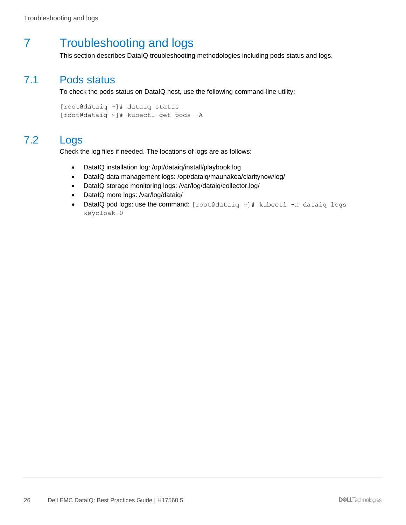# <span id="page-25-0"></span>7 Troubleshooting and logs

This section describes DataIQ troubleshooting methodologies including pods status and logs.

### <span id="page-25-1"></span>7.1 Pods status

To check the pods status on DataIQ host, use the following command-line utility:

```
[root@dataiq ~]# dataiq status
[root@dataiq ~]# kubectl get pods -A
```
### <span id="page-25-2"></span>7.2 Logs

Check the log files if needed. The locations of logs are as follows:

- DataIQ installation log: /opt/dataiq/install/playbook.log
- DataIQ data management logs: /opt/dataiq/maunakea/claritynow/log/
- DataIQ storage monitoring logs: /var/log/dataiq/collector.log/
- DataIQ more logs: /var/log/dataiq/
- DataIQ pod logs: use the command: [root@dataiq ~]# kubectl -n dataiq logs keycloak-0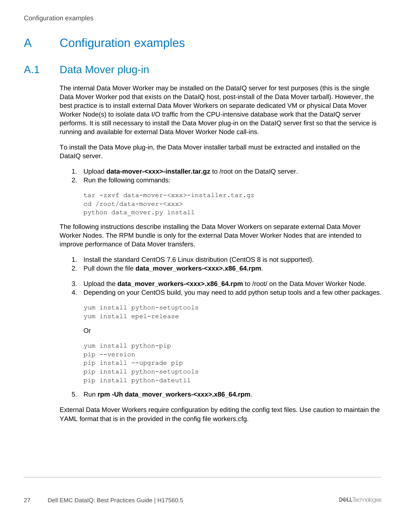# <span id="page-26-0"></span>A Configuration examples

# <span id="page-26-1"></span>A.1 Data Mover plug-in

The internal Data Mover Worker may be installed on the DataIQ server for test purposes (this is the single Data Mover Worker pod that exists on the DataIQ host, post-install of the Data Mover tarball). However, the best practice is to install external Data Mover Workers on separate dedicated VM or physical Data Mover Worker Node(s) to isolate data I/O traffic from the CPU-intensive database work that the DataIQ server performs. It is still necessary to install the Data Mover plug-in on the DataIQ server first so that the service is running and available for external Data Mover Worker Node call-ins.

To install the Data Move plug-in, the Data Mover installer tarball must be extracted and installed on the DataIQ server.

- 1. Upload **data-mover-<xxx>-installer.tar.gz** to /root on the DataIQ server.
- 2. Run the following commands:

```
tar -zxvf data-mover-<xxx>-installer.tar.gz
cd /root/data-mover-<xxx>
python data_mover.py install
```
The following instructions describe installing the Data Mover Workers on separate external Data Mover Worker Nodes. The RPM bundle is only for the external Data Mover Worker Nodes that are intended to improve performance of Data Mover transfers.

- 1. Install the standard CentOS 7.6 Linux distribution (CentOS 8 is not supported).
- 2. Pull down the file **data\_mover\_workers-<xxx>.x86\_64.rpm**.
- 3. Upload the **data\_mover\_workers-<xxx>.x86\_64.rpm** to /root/ on the Data Mover Worker Node.
- 4. Depending on your CentOS build, you may need to add python setup tools and a few other packages.

```
yum install python-setuptools
yum install epel-release
Or
yum install python-pip
pip --version
pip install --upgrade pip
pip install python-setuptools
pip install python-dateutil
```
5. Run **rpm -Uh data\_mover\_workers-<xxx>.x86\_64.rpm**.

External Data Mover Workers require configuration by editing the config text files. Use caution to maintain the YAML format that is in the provided in the config file workers.cfg.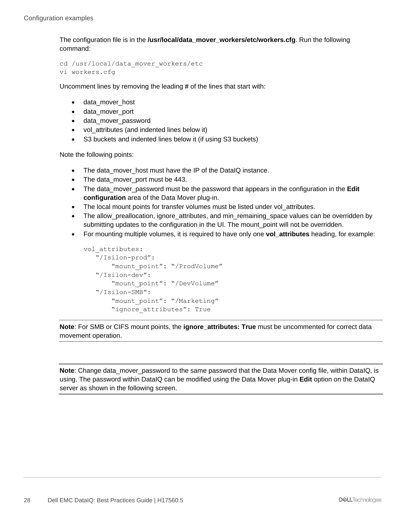The configuration file is in the **/usr/local/data\_mover\_workers/etc/workers.cfg**. Run the following command:

cd /usr/local/data\_mover\_workers/etc vi workers.cfg

Uncomment lines by removing the leading **#** of the lines that start with:

- data\_mover\_host
- data mover port
- data\_mover\_password
- vol\_attributes (and indented lines below it)
- S3 buckets and indented lines below it (if using S3 buckets)

Note the following points:

- The data\_mover\_host must have the IP of the DataIQ instance.
- The data mover port must be 443.
- The data\_mover\_password must be the password that appears in the configuration in the **Edit configuration** area of the Data Mover plug-in.
- The local mount points for transfer volumes must be listed under vol\_attributes.
- The allow preallocation, ignore attributes, and min remaining space values can be overridden by submitting updates to the configuration in the UI. The mount\_point will not be overridden.
- For mounting multiple volumes, it is required to have only one **vol attributes** heading, for example:

```
vol attributes:
    "/Isilon-prod":
        "mount_point": "/ProdVolume"
    "/Isilon-dev":
        "mount_point": "/DevVolume"
    "/Isilon-SMB":
        "mount_point": "/Marketing"
       "ignore attributes": True
```
**Note**: For SMB or CIFS mount points, the **ignore\_attributes: True** must be uncommented for correct data movement operation.

**Note**: Change data mover password to the same password that the Data Mover config file, within DataIQ, is using. The password within DataIQ can be modified using the Data Mover plug-in **Edit** option on the DataIQ server as shown in the following screen.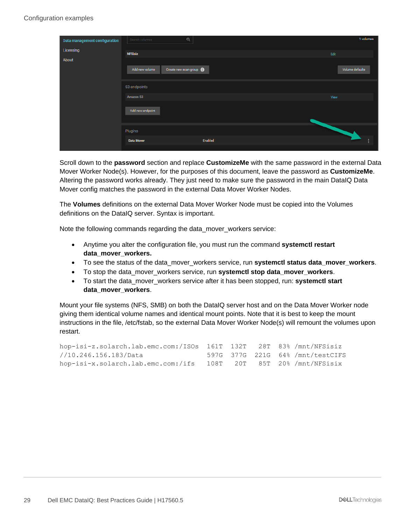| <b>Data management configuration</b> | Search volumes    | $\alpha$                       | 1 volumes       |  |
|--------------------------------------|-------------------|--------------------------------|-----------------|--|
| Licensing                            | <b>NFSisiz</b>    |                                | Edit            |  |
| About                                |                   |                                |                 |  |
|                                      | Add new volume    | Create new scan group <b>O</b> | Volume defaults |  |
|                                      |                   |                                |                 |  |
|                                      | S3 endpoints      |                                |                 |  |
|                                      | <b>Amazon S3</b>  |                                | View            |  |
|                                      | Add new endpoint  |                                |                 |  |
|                                      |                   |                                |                 |  |
|                                      | Plugins           |                                |                 |  |
|                                      | <b>Data Mover</b> | Enabled                        | ÷               |  |
|                                      |                   |                                |                 |  |

Scroll down to the **password** section and replace **CustomizeMe** with the same password in the external Data Mover Worker Node(s). However, for the purposes of this document, leave the password as **CustomizeMe**. Altering the password works already. They just need to make sure the password in the main DataIQ Data Mover config matches the password in the external Data Mover Worker Nodes.

The **Volumes** definitions on the external Data Mover Worker Node must be copied into the Volumes definitions on the DataIQ server. Syntax is important.

Note the following commands regarding the data\_mover\_workers service:

- Anytime you alter the configuration file, you must run the command **systemctl restart data\_mover\_workers.**
- To see the status of the data\_mover\_workers service, run **systemctl status data\_mover\_workers**.
- To stop the data\_mover\_workers service, run **systemctl stop data\_mover\_workers**.
- To start the data\_mover\_workers service after it has been stopped, run: **systemctl start data\_mover\_workers**.

Mount your file systems (NFS, SMB) on both the DataIQ server host and on the Data Mover Worker node giving them identical volume names and identical mount points. Note that it is best to keep the mount instructions in the file, /etc/fstab, so the external Data Mover Worker Node(s) will remount the volumes upon restart.

| hop-isi-z.solarch.lab.emc.com:/ISOs 161T 132T 28T 83% /mnt/NFSisiz |  |  |                                 |
|--------------------------------------------------------------------|--|--|---------------------------------|
| //10.246.156.183/Data                                              |  |  | 597G 377G 221G 64%/mnt/testCIFS |
| hop-isi-x.solarch.lab.emc.com:/ifs 108T 20T 85T 20%/mnt/NFSisix    |  |  |                                 |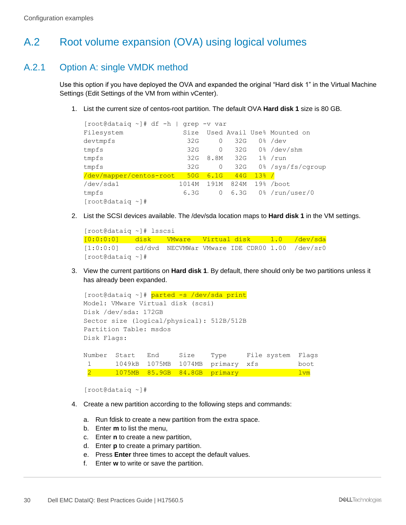# <span id="page-29-0"></span>A.2 Root volume expansion (OVA) using logical volumes

### <span id="page-29-1"></span>A.2.1 Option A: single VMDK method

Use this option if you have deployed the OVA and expanded the original "Hard disk 1" in the Virtual Machine Settings (Edit Settings of the VM from within vCenter).

1. List the current size of centos-root partition. The default OVA **Hard disk 1** size is 80 GB.

| $[root@dataiq \sim]$ # df -h |       | qrep -v var |      |       |                            |
|------------------------------|-------|-------------|------|-------|----------------------------|
| Filesystem                   | Size  |             |      |       | Used Avail Use% Mounted on |
| devtmpfs                     | 32G   | 0           | 32G  |       | $0\%$ /dev                 |
| tmpfs                        | 32G   | 0           | 32G  |       | $0\%$ /dev/shm             |
| tmpfs                        | 32G   | 8.8M        | 32G  |       | $1\%$ /run                 |
| tmpfs                        | 32G   | 0           | 32G  |       | 0% /sys/fs/cqroup          |
| /dev/mapper/centos-root      | 50G   | 6.1G        | 44G  | 13% / |                            |
| /dev/sda1                    | 1014M | 191M        | 824M |       | $19%$ /boot                |
| tmpfs                        | 6.3G  | 0           | 6.3G |       | 0% /run/user/0             |
| [root@dataiq ~]#             |       |             |      |       |                            |

2. List the SCSI devices available. The /dev/sda location maps to **Hard disk 1** in the VM settings.

```
[root@dataiq ~]# lsscsi
[0:0:0:0] disk VMware Virtual disk 1.0 /dev/sda
[1:0:0:0] cd/dvd NECVMWar VMware IDE CDR00 1.00 /dev/sr0
[root@dataiq ~]#
```
3. View the current partitions on **Hard disk 1**. By default, there should only be two partitions unless it has already been expanded.

```
[root@dataiq ~]# parted -s /dev/sda print
Model: VMware Virtual disk (scsi)
Disk /dev/sda: 172GB
Sector size (logical/physical): 512B/512B
Partition Table: msdos
Disk Flags:
Number Start End Size Type File system Flags
 1 1049kB 1075MB 1074MB primary xfs boot
2 1075MB 85.9GB 84.8GB primary lvm
```

```
[root@dataiq ~]#
```
- 4. Create a new partition according to the following steps and commands:
	- a. Run fdisk to create a new partition from the extra space.
	- b. Enter **m** to list the menu,
	- c. Enter **n** to create a new partition,
	- d. Enter **p** to create a primary partition.
	- e. Press **Enter** three times to accept the default values.
	- f. Enter **w** to write or save the partition.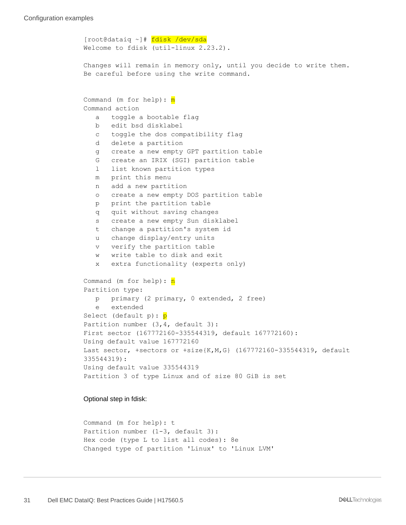```
[root@dataiq ~]# fdisk /dev/sda
Welcome to fdisk (util-linux 2.23.2).
Changes will remain in memory only, until you decide to write them.
Be careful before using the write command.
Command (m for help): m
Command action
    a toggle a bootable flag
    b edit bsd disklabel
    c toggle the dos compatibility flag
    d delete a partition
    g create a new empty GPT partition table
    G create an IRIX (SGI) partition table
    l list known partition types
    m print this menu
    n add a new partition
    o create a new empty DOS partition table
    p print the partition table
    q quit without saving changes
    s create a new empty Sun disklabel
    t change a partition's system id
    u change display/entry units
    v verify the partition table
    w write table to disk and exit
    x extra functionality (experts only)
Command (m for help): n
Partition type:
    p primary (2 primary, 0 extended, 2 free)
    e extended
Select (default p): p
Partition number (3, 4, default 3):
First sector (167772160-335544319, default 167772160):
Using default value 167772160
Last sector, +sectors or +size{K,M,G} (167772160-335544319, default 
335544319):
Using default value 335544319
Partition 3 of type Linux and of size 80 GiB is set
```
Optional step in fdisk:

```
Command (m for help): t
Partition number (1-3, default 3):
Hex code (type L to list all codes): 8e
Changed type of partition 'Linux' to 'Linux LVM'
```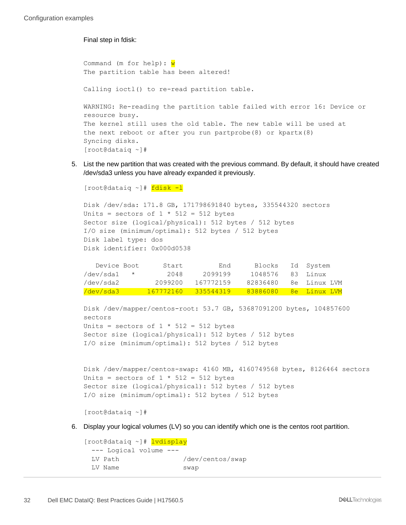Final step in fdisk:

```
Command (m for help): wThe partition table has been altered!
Calling ioctl() to re-read partition table.
WARNING: Re-reading the partition table failed with error 16: Device or 
resource busy.
The kernel still uses the old table. The new table will be used at
the next reboot or after you run partprobe(8) or kpartx(8)
Syncing disks.
[root@dataiq ~]#
```
5. List the new partition that was created with the previous command. By default, it should have created /dev/sda3 unless you have already expanded it previously.

```
[root@dataiq ~]# fdisk -l
Disk /dev/sda: 171.8 GB, 171798691840 bytes, 335544320 sectors
Units = sectors of 1 * 512 = 512 bytes
Sector size (logical/physical): 512 bytes / 512 bytes
I/O size (minimum/optimal): 512 bytes / 512 bytes
Disk label type: dos
Disk identifier: 0x000d0538
   Device Boot Start End Blocks Id System
```

| /dev/sda1 | 2048    | 2099199             | 1048576 83 Linux |                       |
|-----------|---------|---------------------|------------------|-----------------------|
| /dev/sda2 | 2099200 | 167772159           |                  | 82836480 8e Linux LVM |
| /dev/sda3 |         | 167772160 335544319 | 83886080         | <u>. 8e Tinux IVM</u> |

```
Disk /dev/mapper/centos-root: 53.7 GB, 53687091200 bytes, 104857600 
sectors
Units = sectors of 1 * 512 = 512 bytes
Sector size (logical/physical): 512 bytes / 512 bytes
I/O size (minimum/optimal): 512 bytes / 512 bytes
```

```
Disk /dev/mapper/centos-swap: 4160 MB, 4160749568 bytes, 8126464 sectors
Units = sectors of 1 * 512 = 512 bytes
Sector size (logical/physical): 512 bytes / 512 bytes
I/O size (minimum/optimal): 512 bytes / 512 bytes
```

```
[root@dataiq ~]#
```
6. Display your logical volumes (LV) so you can identify which one is the centos root partition.

```
[root@dataiq ~]# lvdisplay
  --- Logical volume ---
 LV Path /dev/centos/swap
 LV Name swap
```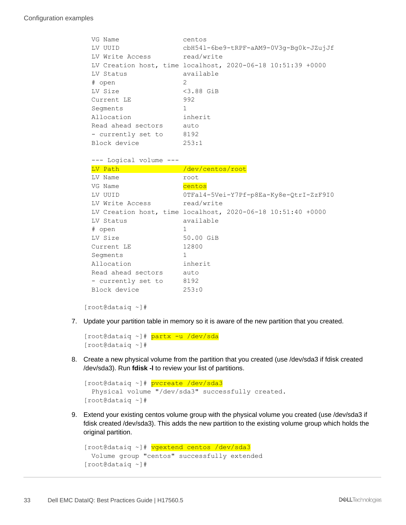```
VG Name centos
  LV UUID cbH54l-6be9-tRPF-aAM9-0V3g-Bg0k-JZujJf
 LV Write Access read/write
  LV Creation host, time localhost, 2020-06-18 10:51:39 +0000
  LV Status available
  # open 2
  LV Size <3.88 GiB
  Current LE 992
 Segments 1
  Allocation inherit
  Read ahead sectors auto
 - currently set to 8192
  Block device 253:1
  --- Logical volume ---
 LV Path /dev/centos/root
 LV Name root
 VG Name centos
  LV UUID 0TFal4-5Vei-Y7Pf-p8Ea-Ky8e-QtrI-ZzF9I0
 LV Write Access read/write
  LV Creation host, time localhost, 2020-06-18 10:51:40 +0000
  LV Status available
  # open 1
  LV Size 50.00 GiB
 Current LE 12800
 Segments 1
  Allocation inherit
 Read ahead sectors auto
- currently set to 8192
  Block device 253:0
```
[root@dataiq ~]#

7. Update your partition table in memory so it is aware of the new partition that you created.

```
[root@dataiq ~]# partx -u /dev/sda
[root@dataiq ~]#
```
8. Create a new physical volume from the partition that you created (use /dev/sda3 if fdisk created /dev/sda3). Run **fdisk -l** to review your list of partitions.

```
[root@dataiq ~]# pvcreate /dev/sda3
  Physical volume "/dev/sda3" successfully created.
[root@dataiq ~]#
```
9. Extend your existing centos volume group with the physical volume you created (use /dev/sda3 if fdisk created /dev/sda3). This adds the new partition to the existing volume group which holds the original partition.

```
[root@dataiq ~]# vgextend centos /dev/sda3
  Volume group "centos" successfully extended
[root@dataiq ~]#
```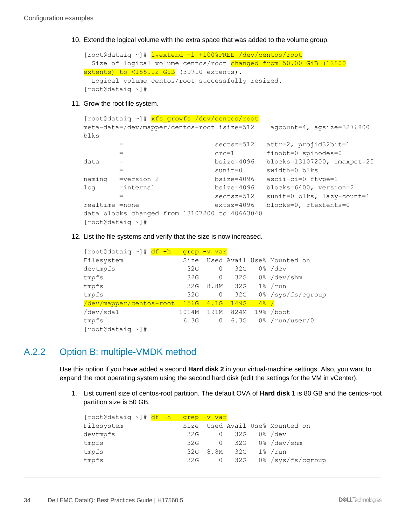10. Extend the logical volume with the extra space that was added to the volume group.

```
[root@dataiq ~]# lvextend -l +100%FREE /dev/centos/root
  Size of logical volume centos/root changed from 50.00 GiB (12800 
extents) to \langle 155.12 GiB (39710 extents).
  Logical volume centos/root successfully resized.
[root@dataiq ~]#
```
11. Grow the root file system.

```
[root@dataiq ~]# xfs_growfs /dev/centos/root
meta-data=/dev/mapper/centos-root isize=512 agcount=4, agsize=3276800 
blks
       = sectsz=512 attr=2, projid32bit=1
      = crc=1 finobt=0 spinodes=0
data = bsize=4096 blocks=13107200, imaxpct=25
       = sunit=0 swidth=0 blks
naming =version 2 bsize=4096 ascii-ci=0 ftype=1
log =internal bsize=4096 blocks=6400, version=2
                       sectsz=512 sunit=0 blks, lazy-count=1
realtime =none extsz=4096 blocks=0, rtextents=0
data blocks changed from 13107200 to 40663040
[root@dataiq ~]#
```
12. List the file systems and verify that the size is now increased.

| df<br>$-h$<br>$[root@dataiq \sim]$ # | grep  | <u>-v var</u> |      |                  |                            |
|--------------------------------------|-------|---------------|------|------------------|----------------------------|
| Filesystem                           | Size  |               |      |                  | Used Avail Use% Mounted on |
| devtmpfs                             | 32G   | 0             | 32G  |                  | $0\%$ /dev                 |
| tmpfs                                | 32G   | 0             | 32G  |                  | $0\%$ /dev/shm             |
| tmpfs                                | 32G   | 8.8M          | 32G  |                  | $1\%$ /run                 |
| tmpfs                                | 32G   | 0             | 32G  |                  | 0% /sys/fs/cgroup          |
| /dev/mapper/centos-root              | 156G  | 6.1G          | 149G | $4\frac{6}{6}$ / |                            |
| /dev/sda1                            | 1014M | 191M          | 824M | 19%              | /boot                      |
| tmpfs                                | 6.3G  | 0             | 6.3G |                  | $0\frac{1}{6}$ /run/user/0 |
| $[root@dataiq \sim]$ #               |       |               |      |                  |                            |

### <span id="page-33-0"></span>A.2.2 Option B: multiple-VMDK method

Use this option if you have added a second **Hard disk 2** in your virtual-machine settings. Also, you want to expand the root operating system using the second hard disk (edit the settings for the VM in vCenter).

1. List current size of centos-root partition. The default OVA of **Hard disk 1** is 80 GB and the centos-root partition size is 50 GB.

| [root@dataiq ~]# df -h   grep -v var |  |     |                     |              |                                 |
|--------------------------------------|--|-----|---------------------|--------------|---------------------------------|
| Filesystem                           |  |     |                     |              | Size Used Avail Use% Mounted on |
| devtmpfs                             |  | 32G |                     | 0 32G 0%/dev |                                 |
| tmpfs                                |  | 32G |                     |              | 0 32G 0%/dev/shm                |
| tmpfs                                |  |     | 32G 8.8M 32G 1%/run |              |                                 |
| tmpfs                                |  | 32G |                     |              | 0 32G 0%/sys/fs/cqroup          |
|                                      |  |     |                     |              |                                 |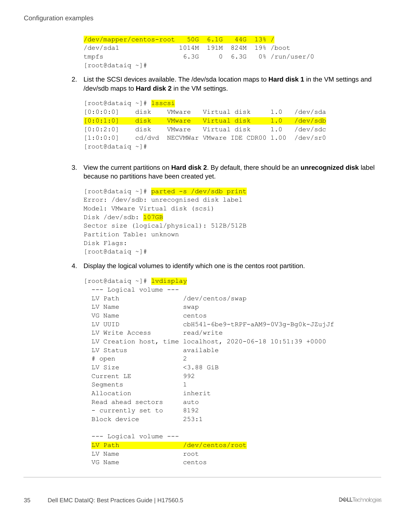#### Configuration examples

/dev/mapper/centos-root 50G 6.1G 44G 13% / /dev/sda1 1014M 191M 824M 19% /boot tmpfs 6.3G 0 6.3G 0% /run/user/0 [root@dataiq ~]#

2. List the SCSI devices available. The /dev/sda location maps to **Hard disk 1** in the VM settings and /dev/sdb maps to **Hard disk 2** in the VM settings.

| [root@dataiq ~]# lsscsi            |      |                     |              |                                                |                |
|------------------------------------|------|---------------------|--------------|------------------------------------------------|----------------|
| [0:0:0:0]                          | disk | VMware              | Virtual disk |                                                | $1.0$ /dev/sda |
| [0:0:1:0] disk VMware Virtual-disk |      |                     |              |                                                | 1.0 /dev/sdb   |
| [0:0:2:0]                          | disk | VMware Virtual disk |              |                                                | 1.0 /dev/sdc   |
| [1:0:0:0]                          |      |                     |              | cd/dvd NECVMWar VMware IDE CDR00 1.00 /dev/sr0 |                |
| $[root@dataiq \sim]$ #             |      |                     |              |                                                |                |

3. View the current partitions on **Hard disk 2**. By default, there should be an **unrecognized disk** label because no partitions have been created yet.

```
[root@dataiq ~]# parted -s /dev/sdb print
Error: /dev/sdb: unrecognised disk label
Model: VMware Virtual disk (scsi)
Disk /dev/sdb: 107GB
Sector size (logical/physical): 512B/512B
Partition Table: unknown
Disk Flags:
[root@dataiq ~]#
```
4. Display the logical volumes to identify which one is the centos root partition.

```
[root@dataiq ~]# lvdisplay
  --- Logical volume ---
 LV Path /dev/centos/swap
 LV Name swap
 VG Name centos
  LV UUID cbH54l-6be9-tRPF-aAM9-0V3g-Bg0k-JZujJf
  LV Write Access read/write
  LV Creation host, time localhost, 2020-06-18 10:51:39 +0000
  LV Status available
  # open 2
  LV Size <3.88 GiB
  Current LE 992
 Segments 1
  Allocation inherit
  Read ahead sectors auto
 - currently set to 8192
  Block device 253:1
  --- Logical volume ---
 LV Path //dev/centos/root
 LV Name root
  VG Name centos
```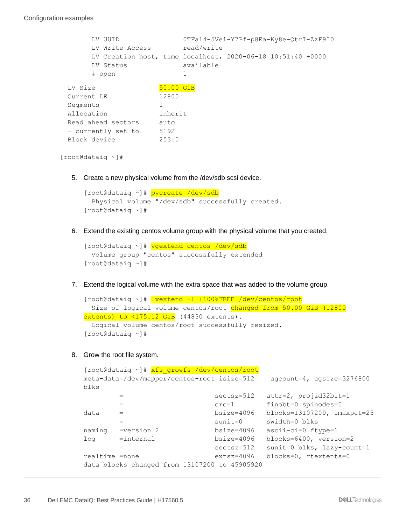```
 LV UUID 0TFal4-5Vei-Y7Pf-p8Ea-Ky8e-QtrI-ZzF9I0
    LV Write Access read/write
     LV Creation host, time localhost, 2020-06-18 10:51:40 +0000
     LV Status available
     # open 1
LV Size 50.00 GiB
 Current LE 12800
Segments 1
 Allocation inherit
 Read ahead sectors auto
- currently set to 8192
Block device 253:0
```
[root@dataiq ~]#

5. Create a new physical volume from the /dev/sdb scsi device.

```
[root@dataiq ~]# pvcreate /dev/sdb
  Physical volume "/dev/sdb" successfully created.
[root@dataiq ~]#
```
6. Extend the existing centos volume group with the physical volume that you created.

```
[root@dataiq ~]# vgextend centos /dev/sdb
  Volume group "centos" successfully extended
[root@dataiq ~]#
```
7. Extend the logical volume with the extra space that was added to the volume group.

```
[root@dataiq ~]# lvextend -l +100%FREE /dev/centos/root
  Size of logical volume centos/root changed from 50.00 GiB (12800 
extents) to \langle 175.12 GiB (44830 extents).
  Logical volume centos/root successfully resized.
[root@dataiq ~]#
```
8. Grow the root file system.

```
[root@dataiq ~]# xfs growfs /dev/centos/root
meta-data=/dev/mapper/centos-root isize=512 agcount=4, agsize=3276800 
blks
                        sectsz=512 attr=2, projid32bit=1
      = crc=1 finobt=0 spinodes=0
data = bsize=4096 blocks=13107200, imaxpct=25
       = sunit=0 swidth=0 blks
naming =version 2 bsize=4096 ascii-ci=0 ftype=1
log =internal bsize=4096 blocks=6400, version=2
       = sectsz=512 sunit=0 blks, lazy-count=1
realtime =none extsz=4096 blocks=0, rtextents=0
data blocks changed from 13107200 to 45905920
```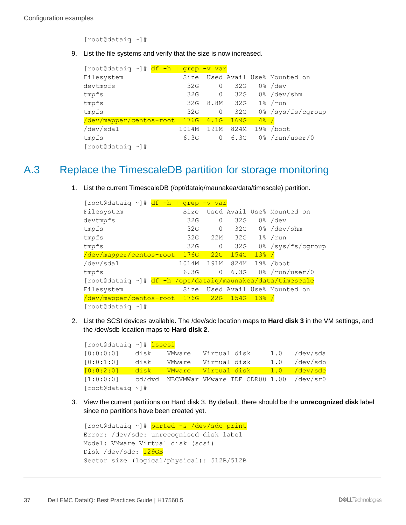[root@dataiq ~]#

9. List the file systems and verify that the size is now increased.

| $[root@dataiq \sim]$ #<br>df<br>$-h$ | grep  | -v var   |      |         |                            |
|--------------------------------------|-------|----------|------|---------|----------------------------|
| Filesystem                           | Size  |          |      |         | Used Avail Use% Mounted on |
| devtmpfs                             | 32G   | 0        | 32G  |         | $0\%$ /dev                 |
| tmpfs                                | 32G   | $\Omega$ | 32G  |         | $0\%$ /dev/shm             |
| tmpfs                                | 32G   | 8.8M     | 32G  | $1\%$   | /run                       |
| tmpfs                                | 32G   | 0        | 32G  |         | 0% /sys/fs/cgroup          |
| /dev/mapper/centos-root              | 176G  | 6.1G     | 169G | $4\%$ / |                            |
| /dev/sda1                            | 1014M | 191M     | 824M | 19.8    | /boot                      |
| tmpfs                                | 6.3G  | 0        | 6.3G |         | $0\frac{1}{2}$ /run/user/0 |
| $[root@dataia \sim ]#$               |       |          |      |         |                            |

## <span id="page-36-0"></span>A.3 Replace the TimescaleDB partition for storage monitoring

1. List the current TimescaleDB (/opt/dataiq/maunakea/data/timescale) partition.

| $[root@dataiq \sim]$ #<br>df<br>$-h/$ | grep  | -v var       |      |       |                                           |
|---------------------------------------|-------|--------------|------|-------|-------------------------------------------|
| Filesystem                            | Size  |              |      |       | Used Avail Use% Mounted on                |
| devtmpfs                              | 32G   | 0            | 32G  |       | $0\%$ /dev                                |
| tmpfs                                 | 32G   | 0            | 32G  |       | $0\frac{1}{6}$ /dev/shm                   |
| tmpfs                                 | 32G   | 22M          | 32G  |       | $1\frac{8}{2}$ /run                       |
| tmpfs                                 | 32G   | 0            | 32G  |       | 0% /sys/fs/cqroup                         |
| /dev/mapper/centos-root               | 176G  | 22G          | 154G | 13% / |                                           |
| /dev/sda1                             | 1014M | 191M         | 824M |       | $19%$ /boot                               |
| tmpfs                                 | 6.3G  | $\mathbf{0}$ | 6.3G |       | $0\frac{1}{6}$ /run/user/0                |
| $[root@dataiq \sim]$ #                |       |              |      |       | df -h /opt/dataiq/maunakea/data/timescale |
| Filesystem                            | Size  |              |      |       | Used Avail Use% Mounted on                |
| /dev/mapper/centos-root               | 176G  | 22G          | 154G | 13% / |                                           |
| $[root@dataia \sim ]#$                |       |              |      |       |                                           |

2. List the SCSI devices available. The /dev/sdc location maps to **Hard disk 3** in the VM settings, and the /dev/sdb location maps to **Hard disk 2**.

[root@dataiq ~]# lsscsi [0:0:0:0] disk VMware Virtual disk 1.0 /dev/sda [0:0:1:0] disk VMware Virtual disk 1.0 /dev/sdb [0:0:2:0] disk VMware Virtual disk 1.0 /dev/sdc [1:0:0:0] cd/dvd NECVMWar VMware IDE CDR00 1.00 /dev/sr0 [root@dataiq ~]#

3. View the current partitions on Hard disk 3. By default, there should be the **unrecognized disk** label since no partitions have been created yet.

```
[root@dataiq ~]# parted -s /dev/sdc print
Error: /dev/sdc: unrecognised disk label
Model: VMware Virtual disk (scsi)
Disk /dev/sdc: 129GB
Sector size (logical/physical): 512B/512B
```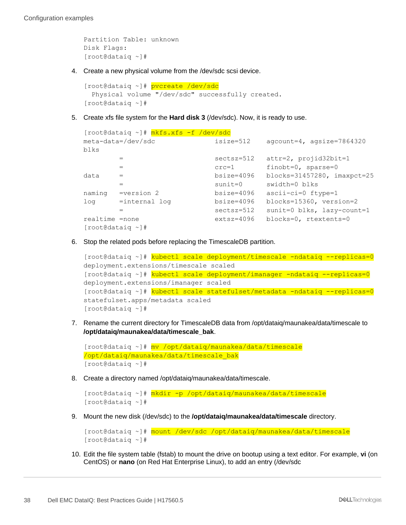```
Partition Table: unknown
Disk Flags:
[root@dataiq ~]#
```
4. Create a new physical volume from the /dev/sdc scsi device.

```
[root@dataiq ~]# pvcreate /dev/sdc
   Physical volume "/dev/sdc" successfully created.
[root@dataiq ~]#
```
5. Create xfs file system for the **Hard disk 3** (/dev/sdc). Now, it is ready to use.

```
[root@dataiq ~]# mkfs.xfs -f /dev/sdc
meta-data=/dev/sdc isize=512 agcount=4, agsize=7864320 
blks
       = sectsz=512 attr=2, projid32bit=1
     = \text{crc=1} finobt=0, sparse=0
data = bsize=4096 blocks=31457280, imaxpct=25
       = sunit=0 swidth=0 blks
naming =version 2 bsize=4096 ascii-ci=0 ftype=1
log =internal log bsize=4096 blocks=15360, version=2
                      sectsz=512 sunit=0 blks, lazy-count=1
realtime =none extsz=4096 blocks=0, rtextents=0
[root@dataiq ~]#
```
6. Stop the related pods before replacing the TimescaleDB partition.

```
[root@dataiq ~]# kubectl scale deployment/timescale -ndataiq --replicas=0
deployment.extensions/timescale scaled
[root@dataiq ~]# kubectl scale deployment/imanager -ndataiq --replicas=0
deployment.extensions/imanager scaled
[root@dataiq ~]# kubectl scale statefulset/metadata -ndataiq --replicas=0
statefulset.apps/metadata scaled
[root@dataiq ~]#
```
7. Rename the current directory for TimescaleDB data from /opt/dataiq/maunakea/data/timescale to **/opt/dataiq/maunakea/data/timescale\_bak**.

```
[root@dataiq ~]# mv /opt/dataiq/maunakea/data/timescale 
/opt/dataiq/maunakea/data/timescale_bak
[root@dataiq ~]#
```
8. Create a directory named /opt/dataiq/maunakea/data/timescale.

```
[root@dataiq ~]# mkdir -p /opt/dataiq/maunakea/data/timescale
[root@dataiq ~]#
```
9. Mount the new disk (/dev/sdc) to the **/opt/dataiq/maunakea/data/timescale** directory.

```
[root@dataiq ~]# mount /dev/sdc /opt/dataiq/maunakea/data/timescale
[root@dataiq ~]#
```
10. Edit the file system table (fstab) to mount the drive on bootup using a text editor. For example, **vi** (on CentOS) or **nano** (on Red Hat Enterprise Linux), to add an entry (/dev/sdc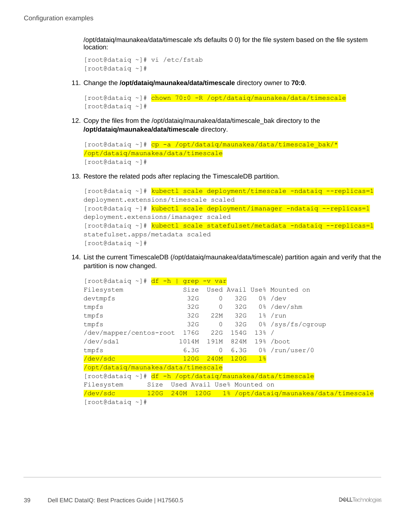/opt/dataiq/maunakea/data/timescale xfs defaults 0 0) for the file system based on the file system location:

```
[root@dataiq ~]# vi /etc/fstab
[root@dataiq ~]#
```
11. Change the **/opt/dataiq/maunakea/data/timescale** directory owner to **70:0**.

```
[root@dataiq ~]# chown 70:0 -R /opt/dataiq/maunakea/data/timescale
[root@dataiq ~]#
```
12. Copy the files from the /opt/dataiq/maunakea/data/timescale\_bak directory to the **/opt/dataiq/maunakea/data/timescale** directory.

```
[root@dataiq ~]# cp -a /opt/dataiq/maunakea/data/timescale bak/*
/opt/dataiq/maunakea/data/timescale
[root@dataiq ~]#
```
13. Restore the related pods after replacing the TimescaleDB partition.

```
[root@dataiq ~]# kubectl scale deployment/timescale -ndataiq --replicas=1
deployment.extensions/timescale scaled
[root@dataiq ~]# kubectl scale deployment/imanager -ndataiq --replicas=1
deployment.extensions/imanager scaled
[root@dataiq ~]# kubectl scale statefulset/metadata -ndataiq --replicas=1
statefulset.apps/metadata scaled
[root@dataiq ~]#
```
14. List the current TimescaleDB (/opt/dataiq/maunakea/data/timescale) partition again and verify that the partition is now changed.

| [root@dataiq ~]# <mark>df -h  </mark>                      | grep      | -v var       |      |                  |                                        |
|------------------------------------------------------------|-----------|--------------|------|------------------|----------------------------------------|
| Filesystem                                                 | Size      |              |      |                  | Used Avail Use% Mounted on             |
| devtmpfs                                                   | 32G       | $\circ$      | 32G  |                  | $0\%$ /dev                             |
| tmpfs                                                      | 32G       | $\circ$      |      |                  | $32G$ 0% /dev/shm                      |
| tmpfs                                                      | 32G       | 22M          |      | $32G$ $1\%$ /run |                                        |
| tmpfs                                                      | 32G       | $\mathbf{0}$ |      |                  | 32G 0%/sys/fs/cgroup                   |
| /dev/mapper/centos-root 176G                               |           | 22G          | 154G | 13% /            |                                        |
| /dev/sda1                                                  | 1014M     | 191M         | 824M |                  | $19\frac{1}{8}$ /boot                  |
| tmpfs                                                      | 6.3G      | $\circ$      |      |                  | $6.3G$ $0%$ /run/user/0                |
| /dev/sdc                                                   | 120G      | 240M         | 120G | 1 <sub>8</sub>   |                                        |
| /opt/dataiq/maunakea/data/timescale                        |           |              |      |                  |                                        |
| [root@dataiq ~]# df -h /opt/dataiq/maunakea/data/timescale |           |              |      |                  |                                        |
| Size Used Avail Use% Mounted on<br>Filesystem              |           |              |      |                  |                                        |
| $/\text{dev}/\text{sdc}$<br>120G                           | 240M 120G |              |      |                  | 1% /opt/dataiq/maunakea/data/timescale |
| للالا الماد مطملات والمحمدة ال                             |           |              |      |                  |                                        |

[root@dataiq ~]#